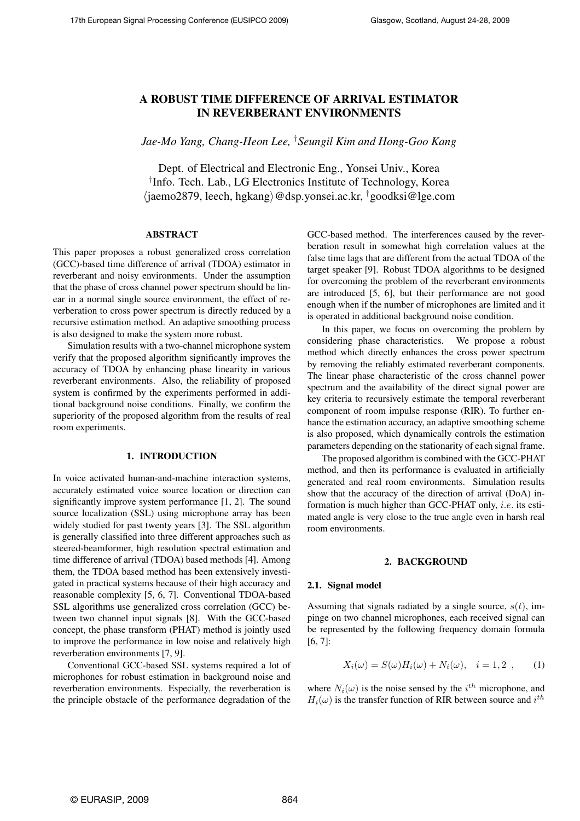# A ROBUST TIME DIFFERENCE OF ARRIVAL ESTIMATOR IN REVERBERANT ENVIRONMENTS

*Jae-Mo Yang, Chang-Heon Lee,* †*Seungil Kim and Hong-Goo Kang*

Dept. of Electrical and Electronic Eng., Yonsei Univ., Korea † Info. Tech. Lab., LG Electronics Institute of Technology, Korea  $\langle$ jaemo2879, leech, hgkang $\rangle$ @dsp.yonsei.ac.kr, †goodksi@lge.com

# ABSTRACT

This paper proposes a robust generalized cross correlation (GCC)-based time difference of arrival (TDOA) estimator in reverberant and noisy environments. Under the assumption that the phase of cross channel power spectrum should be linear in a normal single source environment, the effect of reverberation to cross power spectrum is directly reduced by a recursive estimation method. An adaptive smoothing process is also designed to make the system more robust.

Simulation results with a two-channel microphone system verify that the proposed algorithm significantly improves the accuracy of TDOA by enhancing phase linearity in various reverberant environments. Also, the reliability of proposed system is confirmed by the experiments performed in additional background noise conditions. Finally, we confirm the superiority of the proposed algorithm from the results of real room experiments.

# 1. INTRODUCTION

In voice activated human-and-machine interaction systems, accurately estimated voice source location or direction can significantly improve system performance [1, 2]. The sound source localization (SSL) using microphone array has been widely studied for past twenty years [3]. The SSL algorithm is generally classified into three different approaches such as steered-beamformer, high resolution spectral estimation and time difference of arrival (TDOA) based methods [4]. Among them, the TDOA based method has been extensively investigated in practical systems because of their high accuracy and reasonable complexity [5, 6, 7]. Conventional TDOA-based SSL algorithms use generalized cross correlation (GCC) between two channel input signals [8]. With the GCC-based concept, the phase transform (PHAT) method is jointly used to improve the performance in low noise and relatively high reverberation environments [7, 9].

Conventional GCC-based SSL systems required a lot of microphones for robust estimation in background noise and reverberation environments. Especially, the reverberation is the principle obstacle of the performance degradation of the

GCC-based method. The interferences caused by the reverberation result in somewhat high correlation values at the false time lags that are different from the actual TDOA of the target speaker [9]. Robust TDOA algorithms to be designed for overcoming the problem of the reverberant environments are introduced [5, 6], but their performance are not good enough when if the number of microphones are limited and it is operated in additional background noise condition.

In this paper, we focus on overcoming the problem by considering phase characteristics. We propose a robust method which directly enhances the cross power spectrum by removing the reliably estimated reverberant components. The linear phase characteristic of the cross channel power spectrum and the availability of the direct signal power are key criteria to recursively estimate the temporal reverberant component of room impulse response (RIR). To further enhance the estimation accuracy, an adaptive smoothing scheme is also proposed, which dynamically controls the estimation parameters depending on the stationarity of each signal frame.

The proposed algorithm is combined with the GCC-PHAT method, and then its performance is evaluated in artificially generated and real room environments. Simulation results show that the accuracy of the direction of arrival (DoA) information is much higher than GCC-PHAT only, i.e. its estimated angle is very close to the true angle even in harsh real room environments.

# 2. BACKGROUND

#### 2.1. Signal model

Assuming that signals radiated by a single source,  $s(t)$ , impinge on two channel microphones, each received signal can be represented by the following frequency domain formula [6, 7]:

$$
X_i(\omega) = S(\omega)H_i(\omega) + N_i(\omega), \quad i = 1, 2 \tag{1}
$$

where  $N_i(\omega)$  is the noise sensed by the  $i^{th}$  microphone, and  $H_i(\omega)$  is the transfer function of RIR between source and  $i^{th}$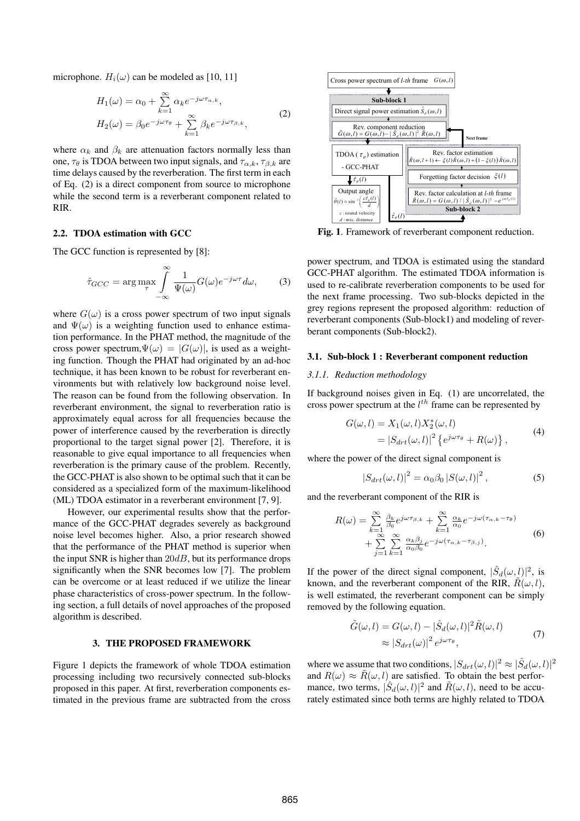microphone.  $H_i(\omega)$  can be modeled as [10, 11]

$$
H_1(\omega) = \alpha_0 + \sum_{k=1}^{\infty} \alpha_k e^{-j\omega \tau_{\alpha,k}},
$$
  
\n
$$
H_2(\omega) = \beta_0 e^{-j\omega \tau_{\theta}} + \sum_{k=1}^{\infty} \beta_k e^{-j\omega \tau_{\beta,k}},
$$
\n(2)

where  $\alpha_k$  and  $\beta_k$  are attenuation factors normally less than one,  $\tau_{\theta}$  is TDOA between two input signals, and  $\tau_{\alpha,k}$ ,  $\tau_{\beta,k}$  are time delays caused by the reverberation. The first term in each of Eq. (2) is a direct component from source to microphone while the second term is a reverberant component related to RIR.

### 2.2. TDOA estimation with GCC

The GCC function is represented by [8]:

$$
\hat{\tau}_{GCC} = \arg \max_{\tau} \int_{-\infty}^{\infty} \frac{1}{\Psi(\omega)} G(\omega) e^{-j\omega\tau} d\omega, \quad (3)
$$

where  $G(\omega)$  is a cross power spectrum of two input signals and  $\Psi(\omega)$  is a weighting function used to enhance estimation performance. In the PHAT method, the magnitude of the cross power spectrum,  $\Psi(\omega) = |G(\omega)|$ , is used as a weighting function. Though the PHAT had originated by an ad-hoc technique, it has been known to be robust for reverberant environments but with relatively low background noise level. The reason can be found from the following observation. In reverberant environment, the signal to reverberation ratio is approximately equal across for all frequencies because the power of interference caused by the reverberation is directly proportional to the target signal power [2]. Therefore, it is reasonable to give equal importance to all frequencies when reverberation is the primary cause of the problem. Recently, the GCC-PHAT is also shown to be optimal such that it can be considered as a specialized form of the maximum-likelihood (ML) TDOA estimator in a reverberant environment [7, 9].  $H_1(\omega) = \alpha_0 + \sum_{k=1}^{\infty} \frac{6}{3} \alpha_k e^{-j\omega_k \omega_k}$ , (2)<br>  $H_2(\omega) = \beta_0 e^{-j\omega_k \omega_k}$ . (2)<br>
where  $\alpha_0$  and  $\beta_0$ , is a fine are subtracted from the previous from the previous frame are substrained in the previous from the compo

However, our experimental results show that the performance of the GCC-PHAT degrades severely as background noise level becomes higher. Also, a prior research showed that the performance of the PHAT method is superior when the input SNR is higher than  $20dB$ , but its performance drops significantly when the SNR becomes low [7]. The problem can be overcome or at least reduced if we utilize the linear phase characteristics of cross-power spectrum. In the following section, a full details of novel approaches of the proposed algorithm is described.

### 3. THE PROPOSED FRAMEWORK

Figure 1 depicts the framework of whole TDOA estimation processing including two recursively connected sub-blocks proposed in this paper. At first, reverberation components es-



Fig. 1. Framework of reverberant component reduction.

power spectrum, and TDOA is estimated using the standard GCC-PHAT algorithm. The estimated TDOA information is used to re-calibrate reverberation components to be used for the next frame processing. Two sub-blocks depicted in the grey regions represent the proposed algorithm: reduction of reverberant components (Sub-block1) and modeling of reverberant components (Sub-block2).

### 3.1. Sub-block 1 : Reverberant component reduction

#### *3.1.1. Reduction methodology*

If background noises given in Eq. (1) are uncorrelated, the cross power spectrum at the  $l^{th}$  frame can be represented by

$$
G(\omega, l) = X_1(\omega, l) X_2^*(\omega, l)
$$
  
=  $|S_{drt}(\omega, l)|^2 \left\{ e^{j\omega\tau_\theta} + R(\omega) \right\},$  (4)

where the power of the direct signal component is

$$
\left|S_{drt}(\omega,l)\right|^2 = \alpha_0 \beta_0 \left|S(\omega,l)\right|^2,\tag{5}
$$

and the reverberant component of the RIR is

$$
R(\omega) = \sum_{k=1}^{\infty} \frac{\beta_k}{\beta_0} e^{j\omega \tau_{\beta,k}} + \sum_{k=1}^{\infty} \frac{\alpha_k}{\alpha_0} e^{-j\omega(\tau_{\alpha,k} - \tau_{\theta})} + \sum_{j=1}^{\infty} \sum_{k=1}^{\infty} \frac{\alpha_k \beta_j}{\alpha_0 \beta_0} e^{-j\omega(\tau_{\alpha,k} - \tau_{\beta,j})}.
$$
(6)

If the power of the direct signal component,  $|\hat{S}_d(\omega, l)|^2$ , is known, and the reverberant component of the RIR,  $\tilde{R}(\omega, l)$ , is well estimated, the reverberant component can be simply removed by the following equation.

$$
\tilde{G}(\omega, l) = G(\omega, l) - |\hat{S}_d(\omega, l)|^2 \tilde{R}(\omega, l)
$$
\n
$$
\approx |S_{drt}(\omega)|^2 e^{j\omega\tau_{\theta}},
$$
\n(7)

where we assume that two conditions,  $|S_{drt}(\omega, l)|^2 \approx |\hat{S}_d(\omega, l)|^2$ and  $R(\omega) \approx \tilde{R}(\omega, l)$  are satisfied. To obtain the best performance, two terms,  $|\hat{S}_d(\omega, l)|^2$  and  $\tilde{R}(\omega, l)$ , need to be accurately estimated since both terms are highly related to TDOA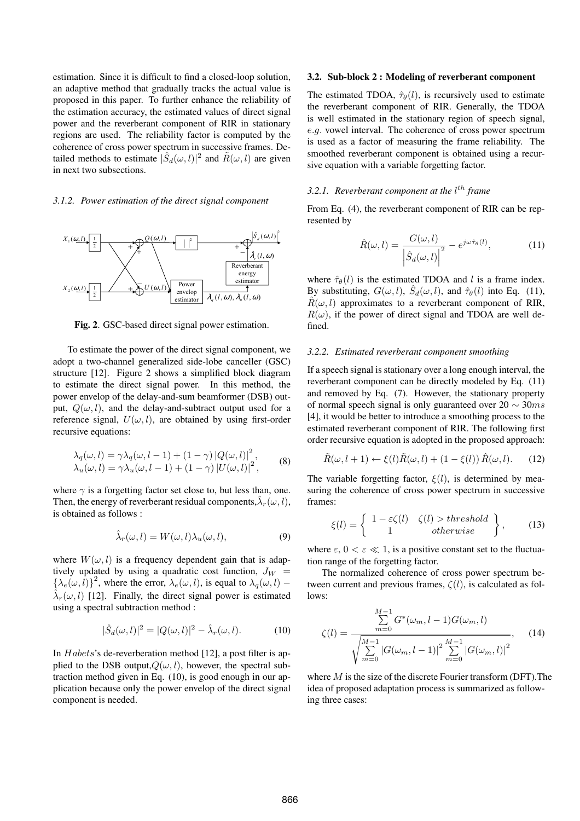estimation. Since it is difficult to find a closed-loop solution, an adaptive method that gradually tracks the actual value is proposed in this paper. To further enhance the reliability of the estimation accuracy, the estimated values of direct signal power and the reverberant component of RIR in stationary regions are used. The reliability factor is computed by the coherence of cross power spectrum in successive frames. Detailed methods to estimate  $|\hat{S}_d(\omega, l)|^2$  and  $\tilde{R}(\omega, l)$  are given in next two subsections.

### *3.1.2. Power estimation of the direct signal component*



Fig. 2. GSC-based direct signal power estimation.

To estimate the power of the direct signal component, we adopt a two-channel generalized side-lobe canceller (GSC) structure [12]. Figure 2 shows a simplified block diagram to estimate the direct signal power. In this method, the power envelop of the delay-and-sum beamformer (DSB) output,  $Q(\omega, l)$ , and the delay-and-subtract output used for a reference signal,  $U(\omega, l)$ , are obtained by using first-order recursive equations:

$$
\lambda_q(\omega, l) = \gamma \lambda_q(\omega, l - 1) + (1 - \gamma) |Q(\omega, l)|^2, \lambda_u(\omega, l) = \gamma \lambda_u(\omega, l - 1) + (1 - \gamma) |U(\omega, l)|^2,
$$
\n(8)

where  $\gamma$  is a forgetting factor set close to, but less than, one. Then, the energy of reverberant residual components,  $\hat{\lambda}_r(\omega, l)$ , is obtained as follows :

$$
\hat{\lambda}_r(\omega, l) = W(\omega, l)\lambda_u(\omega, l),\tag{9}
$$

where  $W(\omega, l)$  is a frequency dependent gain that is adaptively updated by using a quadratic cost function,  $J_W$  =  $\{\lambda_e(\omega, l)\}^2$ , where the error,  $\lambda_e(\omega, l)$ , is equal to  $\lambda_q(\omega, l)$  –  $\hat{\lambda}_r(\omega, l)$  [12]. Finally, the direct signal power is estimated using a spectral subtraction method :

$$
|\hat{S}_d(\omega, l)|^2 = |Q(\omega, l)|^2 - \hat{\lambda}_r(\omega, l). \tag{10}
$$

In *Habets's* de-reverberation method [12], a post filter is applied to the DSB output,  $Q(\omega, l)$ , however, the spectral subtraction method given in Eq. (10), is good enough in our application because only the power envelop of the direct signal component is needed.

#### 3.2. Sub-block 2 : Modeling of reverberant component

The estimated TDOA,  $\hat{\tau}_{\theta}(l)$ , is recursively used to estimate the reverberant component of RIR. Generally, the TDOA is well estimated in the stationary region of speech signal, e.g. vowel interval. The coherence of cross power spectrum is used as a factor of measuring the frame reliability. The smoothed reverberant component is obtained using a recursive equation with a variable forgetting factor.

# 3.2.1. Reverberant component at the l<sup>th</sup> frame

From Eq. (4), the reverberant component of RIR can be represented by

$$
\hat{R}(\omega, l) = \frac{G(\omega, l)}{\left|\hat{S}_d(\omega, l)\right|^2} - e^{j\omega \hat{\tau}_{\theta}(l)},\tag{11}
$$

where  $\hat{\tau}_{\theta}(l)$  is the estimated TDOA and l is a frame index. By substituting,  $G(\omega, l)$ ,  $\hat{S}_d(\omega, l)$ , and  $\hat{\tau}_{\theta}(l)$  into Eq. (11),  $\hat{R}(\omega, l)$  approximates to a reverberant component of RIR,  $R(\omega)$ , if the power of direct signal and TDOA are well defined.

### *3.2.2. Estimated reverberant component smoothing*

If a speech signal is stationary over a long enough interval, the reverberant component can be directly modeled by Eq. (11) and removed by Eq. (7). However, the stationary property of normal speech signal is only guaranteed over  $20 \sim 30 ms$ [4], it would be better to introduce a smoothing process to the estimated reverberant component of RIR. The following first order recursive equation is adopted in the proposed approach:

$$
\tilde{R}(\omega, l+1) \leftarrow \xi(l)\tilde{R}(\omega, l) + (1 - \xi(l))\hat{R}(\omega, l). \tag{12}
$$

The variable forgetting factor,  $\xi(l)$ , is determined by measuring the coherence of cross power spectrum in successive frames:

$$
\xi(l) = \left\{ \begin{array}{cc} 1 - \varepsilon \zeta(l) & \zeta(l) > threshold \\ 1 & otherwise \end{array} \right\},\qquad(13)
$$

where  $\varepsilon$ ,  $0 < \varepsilon \ll 1$ , is a positive constant set to the fluctuation range of the forgetting factor.

The normalized coherence of cross power spectrum between current and previous frames,  $\zeta(l)$ , is calculated as follows:

$$
\zeta(l) = \frac{\sum_{m=0}^{M-1} G^*(\omega_m, l-1) G(\omega_m, l)}{\sqrt{\sum_{m=0}^{M-1} |G(\omega_m, l-1)|^2 \sum_{m=0}^{M-1} |G(\omega_m, l)|^2}},
$$
(14)

where  $M$  is the size of the discrete Fourier transform (DFT). The idea of proposed adaptation process is summarized as following three cases: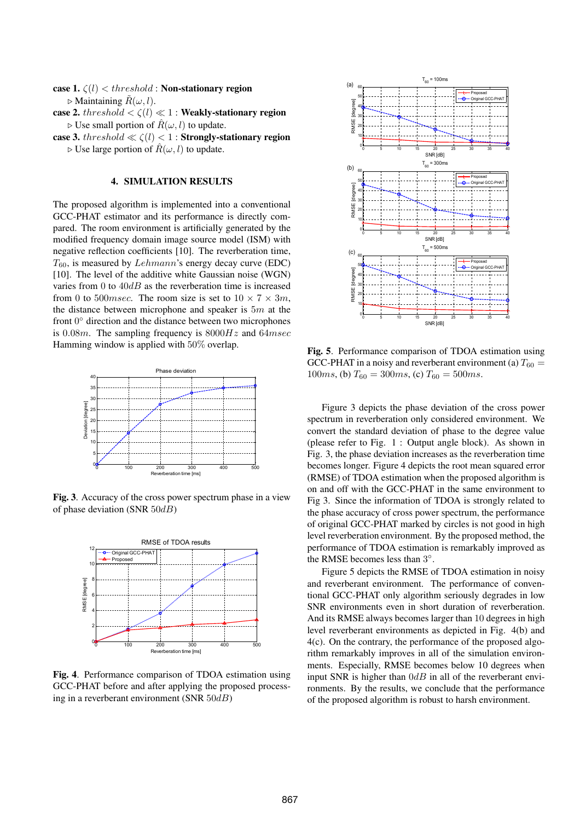case 1.  $\zeta(l) < threshold$  : Non-stationary region  $\triangleright$  Maintaining  $\tilde{R}(\omega, l)$ .

case 2. threshold  $\langle \zeta(l) \ll 1$  : Weakly-stationary region  $\triangleright$  Use small portion of  $\hat{R}(\omega, l)$  to update.

case 3.  $threshold \ll \zeta(l) < 1$  : Strongly-stationary region  $\triangleright$  Use large portion of  $\hat{R}(\omega, l)$  to update.

# 4. SIMULATION RESULTS

The proposed algorithm is implemented into a conventional GCC-PHAT estimator and its performance is directly compared. The room environment is artificially generated by the modified frequency domain image source model (ISM) with negative reflection coefficients [10]. The reverberation time,  $T_{60}$ , is measured by Lehmann's energy decay curve (EDC) [10]. The level of the additive white Gaussian noise (WGN) varies from 0 to  $40dB$  as the reverberation time is increased from 0 to 500*msec*. The room size is set to  $10 \times 7 \times 3m$ , the distance between microphone and speaker is  $5m$  at the front  $0^{\circ}$  direction and the distance between two microphones is 0.08m. The sampling frequency is  $8000Hz$  and  $64msec$ Hamming window is applied with 50% overlap.



Fig. 3. Accuracy of the cross power spectrum phase in a view of phase deviation (SNR  $50dB$ )



Fig. 4. Performance comparison of TDOA estimation using GCC-PHAT before and after applying the proposed processing in a reverberant environment (SNR 50dB)



Fig. 5. Performance comparison of TDOA estimation using GCC-PHAT in a noisy and reverberant environment (a)  $T_{60} =$ 100ms, (b)  $T_{60} = 300$ ms, (c)  $T_{60} = 500$ ms.

Figure 3 depicts the phase deviation of the cross power spectrum in reverberation only considered environment. We convert the standard deviation of phase to the degree value (please refer to Fig. 1 : Output angle block). As shown in Fig. 3, the phase deviation increases as the reverberation time becomes longer. Figure 4 depicts the root mean squared error (RMSE) of TDOA estimation when the proposed algorithm is on and off with the GCC-PHAT in the same environment to Fig 3. Since the information of TDOA is strongly related to the phase accuracy of cross power spectrum, the performance of original GCC-PHAT marked by circles is not good in high level reverberation environment. By the proposed method, the performance of TDOA estimation is remarkably improved as the RMSE becomes less than  $3^\circ$ .

Figure 5 depicts the RMSE of TDOA estimation in noisy and reverberant environment. The performance of conventional GCC-PHAT only algorithm seriously degrades in low SNR environments even in short duration of reverberation. And its RMSE always becomes larger than 10 degrees in high level reverberant environments as depicted in Fig. 4(b) and 4(c). On the contrary, the performance of the proposed algorithm remarkably improves in all of the simulation environments. Especially, RMSE becomes below 10 degrees when input SNR is higher than  $0dB$  in all of the reverberant environments. By the results, we conclude that the performance of the proposed algorithm is robust to harsh environment.